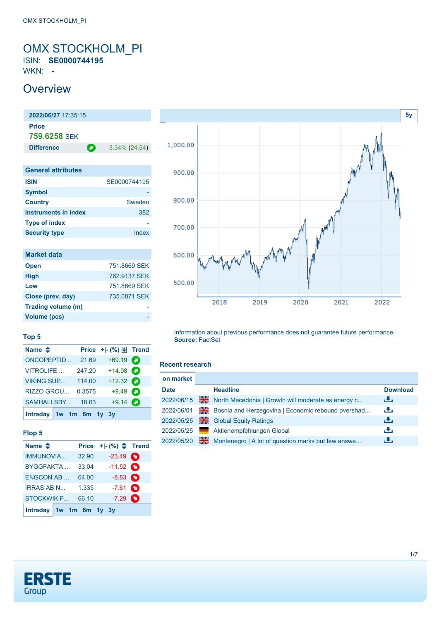# <span id="page-0-0"></span>OMX STOCKHOLM\_PI ISIN: **SE0000744195**

WKN: **-**

# **Overview**

| 2022/06/27 17:35:15          |   |                  |
|------------------------------|---|------------------|
| Price<br><b>759.6258 SFK</b> |   |                  |
| <b>Difference</b>            | О | $3.34\%$ (24.54) |
|                              |   |                  |
| <b>General attributes</b>    |   |                  |
| <b>ISIN</b>                  |   | SE0000744195     |
| <b>Symbol</b>                |   |                  |
| <b>Country</b>               |   | Sweden           |
| <b>Instruments in index</b>  |   | 382              |
| <b>Type of index</b>         |   |                  |
| <b>Security type</b>         |   | Index            |
|                              |   |                  |

| <b>Market data</b> |              |
|--------------------|--------------|
| <b>Open</b>        | 751.8669 SEK |
| <b>High</b>        | 762.9137 SEK |
| Low                | 751,8669 SEK |
| Close (prev. day)  | 735,0871 SEK |
| Trading volume (m) |              |
| Volume (pcs)       |              |



#### **Top 5**

| Name $\triangleq$         |        | Price $+$ $ \binom{9}{0}$ $\boxed{\frac{1}{2}}$ Trend |   |
|---------------------------|--------|-------------------------------------------------------|---|
| <b>ONCOPEPTID</b>         | 21.69  | $+69.19$ $\bullet$                                    |   |
| <b>VITROLIFE</b>          | 247.20 | $+14.98$ $\bullet$                                    |   |
| <b>VIKING SUP</b>         | 114.00 | +12.32 $\bullet$                                      |   |
| RIZZO GROU                | 0.3575 | $+9.49$                                               | Ω |
| SAMHALLSBY 18.03          |        | $+9.14$                                               | о |
| Intraday $1w$ 1m 6m 1y 3y |        |                                                       |   |

### **Flop 5**

| Name $\triangle$          | Price | $+ -$ (%) $\Leftarrow$ Trend |   |
|---------------------------|-------|------------------------------|---|
| IMMUNOVIA                 | 32.90 | $-23.49$ $\bullet$           |   |
| <b>BYGGFAKTA</b>          | 33.04 | $-11.52$ $\bullet$           |   |
| <b>ENGCON AB</b>          | 64.00 | $-8.83$ $\bullet$            |   |
| <b>IRRAS AB N</b>         | 1.335 | $-7.61$ $\bullet$            |   |
| <b>STOCKWIK F</b>         | 66.10 | $-7.29$                      | n |
| Intraday $1w$ 1m 6m 1y 3y |       |                              |   |

Information about previous performance does not guarantee future performance. **Source:** FactSet

#### **Recent research**

| on market   |                |                                                    |                 |
|-------------|----------------|----------------------------------------------------|-----------------|
| <b>Date</b> |                | <b>Headline</b>                                    | <b>Download</b> |
| 2022/06/15  | ₩€             | North Macedonia   Growth will moderate as energy c | رنان            |
| 2022/06/01  | 꾉뚢             | Bosnia and Herzegovina   Economic rebound overshad | رنان            |
| 2022/05/25  | 픪              | <b>Global Equity Ratings</b>                       | رالى            |
| 2022/05/25  | <u>a sa sa</u> | Aktienempfehlungen Global                          | æ,              |
| 2022/05/20  | 꾊              | Montenegro   A lot of question marks but few answe | æ,              |

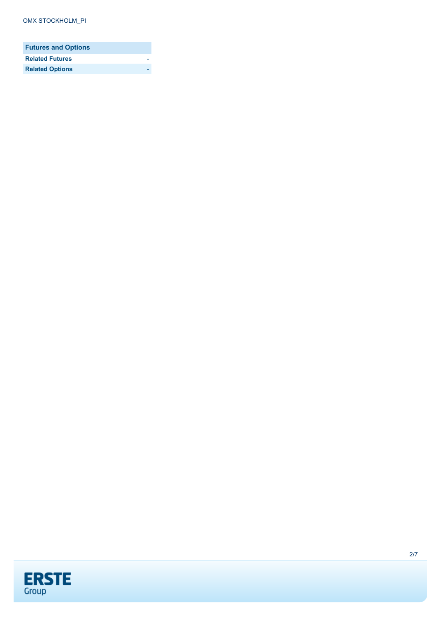| <b>Futures and Options</b> |  |
|----------------------------|--|
| <b>Related Futures</b>     |  |
| <b>Related Options</b>     |  |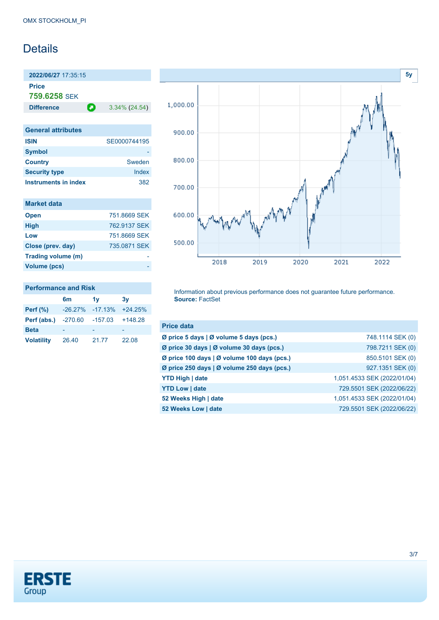# Details

**2022/06/27** 17:35:15 **Price**

**759.6258** SEK

**Difference** 3.34% (24.54)

| <b>General attributes</b>   |              |
|-----------------------------|--------------|
| <b>ISIN</b>                 | SE0000744195 |
| <b>Symbol</b>               |              |
| <b>Country</b>              | Sweden       |
| <b>Security type</b>        | Index        |
| <b>Instruments in index</b> | 382          |

| <b>Market data</b> |              |
|--------------------|--------------|
| <b>Open</b>        | 751.8669 SEK |
| <b>High</b>        | 762.9137 SEK |
| Low                | 751.8669 SEK |
| Close (prev. day)  | 735,0871 SEK |
| Trading volume (m) |              |
| Volume (pcs)       |              |

#### **Performance and Risk**

|                   | 6 <sub>m</sub> | 1v        | 3v        |
|-------------------|----------------|-----------|-----------|
| <b>Perf</b> (%)   | $-26.27%$      | $-17.13%$ | $+24.25%$ |
| Perf (abs.)       | -270.60        | $-157.03$ | $+148.28$ |
| <b>Beta</b>       |                |           |           |
| <b>Volatility</b> | 26.40          | 21.77     | 22.08     |



Information about previous performance does not guarantee future performance. **Source:** FactSet

| <b>Price data</b>                           |                             |
|---------------------------------------------|-----------------------------|
| Ø price 5 days   Ø volume 5 days (pcs.)     | 748.1114 SEK (0)            |
| Ø price 30 days   Ø volume 30 days (pcs.)   | 798.7211 SEK (0)            |
| Ø price 100 days   Ø volume 100 days (pcs.) | 850.5101 SEK (0)            |
| Ø price 250 days   Ø volume 250 days (pcs.) | 927.1351 SEK (0)            |
| <b>YTD High   date</b>                      | 1,051.4533 SEK (2022/01/04) |
| <b>YTD Low   date</b>                       | 729.5501 SEK (2022/06/22)   |
| 52 Weeks High   date                        | 1,051.4533 SEK (2022/01/04) |
| 52 Weeks Low   date                         | 729.5501 SEK (2022/06/22)   |

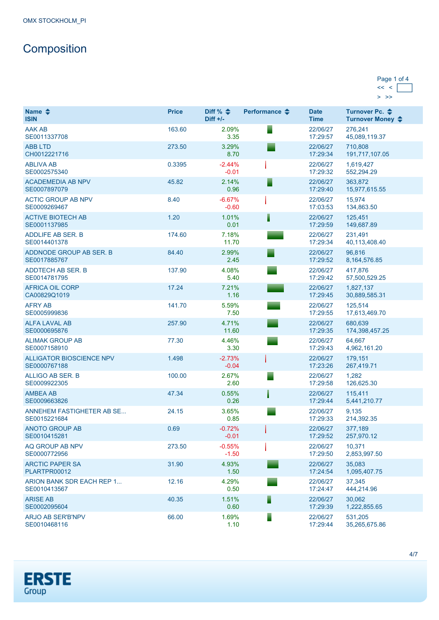# **Composition**

| Page 1 of 4 |  |
|-------------|--|
|             |  |
|             |  |

| Name $\triangle$<br><b>ISIN</b>                 | <b>Price</b> | Diff % $\triangleq$<br>$Diff +/-$ | Performance $\triangle$ | <b>Date</b><br><b>Time</b> | Turnover Pc. ♦<br>Turnover Money ♦ |
|-------------------------------------------------|--------------|-----------------------------------|-------------------------|----------------------------|------------------------------------|
| <b>AAK AB</b><br>SE0011337708                   | 163.60       | 2.09%<br>3.35                     |                         | 22/06/27<br>17:29:57       | 276,241<br>45,089,119.37           |
| <b>ABB LTD</b><br>CH0012221716                  | 273.50       | 3.29%<br>8.70                     |                         | 22/06/27<br>17:29:34       | 710.808<br>191,717,107.05          |
| <b>ABLIVA AB</b><br>SE0002575340                | 0.3395       | $-2.44%$<br>$-0.01$               |                         | 22/06/27<br>17:29:32       | 1,619,427<br>552,294.29            |
| <b>ACADEMEDIA AB NPV</b><br>SE0007897079        | 45.82        | 2.14%<br>0.96                     |                         | 22/06/27<br>17:29:40       | 363,872<br>15,977,615.55           |
| <b>ACTIC GROUP AB NPV</b><br>SE0009269467       | 8.40         | $-6.67%$<br>$-0.60$               |                         | 22/06/27<br>17:03:53       | 15.974<br>134,863.50               |
| <b>ACTIVE BIOTECH AB</b><br>SE0001137985        | 1.20         | 1.01%<br>0.01                     |                         | 22/06/27<br>17:29:59       | 125,451<br>149,687.89              |
| <b>ADDLIFE AB SER. B</b><br>SE0014401378        | 174.60       | 7.18%<br>11.70                    |                         | 22/06/27<br>17:29:34       | 231,491<br>40,113,408.40           |
| ADDNODE GROUP AB SER. B<br>SE0017885767         | 84.40        | 2.99%<br>2.45                     |                         | 22/06/27<br>17:29:52       | 96.816<br>8, 164, 576.85           |
| <b>ADDTECH AB SER. B</b><br>SE0014781795        | 137.90       | 4.08%<br>5.40                     |                         | 22/06/27<br>17:29:42       | 417,876<br>57,500,529.25           |
| <b>AFRICA OIL CORP</b><br>CA00829Q1019          | 17.24        | 7.21%<br>1.16                     |                         | 22/06/27<br>17:29:45       | 1,827,137<br>30,889,585.31         |
| <b>AFRY AB</b><br>SE0005999836                  | 141.70       | 5.59%<br>7.50                     |                         | 22/06/27<br>17:29:55       | 125.514<br>17,613,469.70           |
| <b>ALFA LAVAL AB</b><br>SE0000695876            | 257.90       | 4.71%<br>11.60                    |                         | 22/06/27<br>17:29:35       | 680,639<br>174,398,457.25          |
| <b>ALIMAK GROUP AB</b><br>SE0007158910          | 77.30        | 4.46%<br>3.30                     |                         | 22/06/27<br>17:29:43       | 64,667<br>4,962,161.20             |
| <b>ALLIGATOR BIOSCIENCE NPV</b><br>SE0000767188 | 1.498        | $-2.73%$<br>$-0.04$               |                         | 22/06/27<br>17:23:26       | 179,151<br>267,419.71              |
| ALLIGO AB SER. B<br>SE0009922305                | 100.00       | 2.67%<br>2.60                     |                         | 22/06/27<br>17:29:58       | 1,282<br>126,625.30                |
| <b>AMBEA AB</b><br>SE0009663826                 | 47.34        | 0.55%<br>0.26                     |                         | 22/06/27<br>17:29:44       | 115,411<br>5,441,210.77            |
| ANNEHEM FASTIGHETER AB SE<br>SE0015221684       | 24.15        | 3.65%<br>0.85                     |                         | 22/06/27<br>17:29:33       | 9,135<br>214,392.35                |
| <b>ANOTO GROUP AB</b><br>SE0010415281           | 0.69         | $-0.72%$<br>$-0.01$               |                         | 22/06/27<br>17:29:52       | 377,189<br>257,970.12              |
| AQ GROUP AB NPV<br>SE0000772956                 | 273.50       | $-0.55%$<br>$-1.50$               |                         | 22/06/27<br>17:29:50       | 10,371<br>2,853,997.50             |
| <b>ARCTIC PAPER SA</b><br>PLARTPR00012          | 31.90        | 4.93%<br>1.50                     |                         | 22/06/27<br>17:24:54       | 35,083<br>1,095,407.75             |
| ARION BANK SDR EACH REP 1<br>SE0010413567       | 12.16        | 4.29%<br>0.50                     |                         | 22/06/27<br>17:24:47       | 37,345<br>444,214.96               |
| <b>ARISE AB</b><br>SE0002095604                 | 40.35        | 1.51%<br>0.60                     |                         | 22/06/27<br>17:29:39       | 30,062<br>1,222,855.65             |
| ARJO AB SER'B'NPV<br>SE0010468116               | 66.00        | 1.69%<br>1.10                     |                         | 22/06/27<br>17:29:44       | 531,205<br>35,265,675.86           |

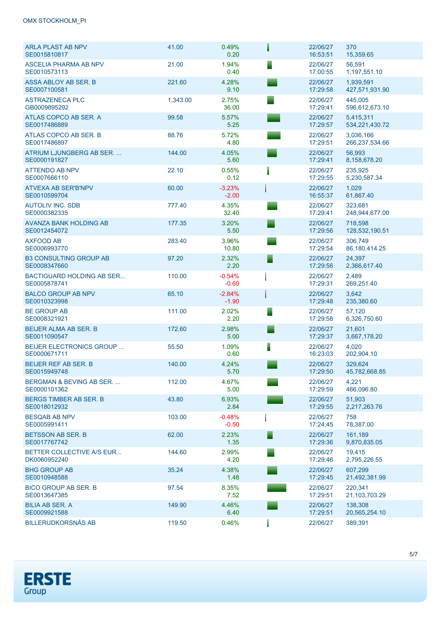| <b>ARLA PLAST AB NPV</b><br>SE0015810817           | 41.00    | 0.49%<br>0.20       |   | 22/06/27<br>16:53:51 | 370<br>15,359.65            |
|----------------------------------------------------|----------|---------------------|---|----------------------|-----------------------------|
| <b>ASCELIA PHARMA AB NPV</b><br>SE0010573113       | 21.00    | 1.94%<br>0.40       |   | 22/06/27<br>17:00:55 | 56,591<br>1,197,551.10      |
| ASSA ABLOY AB SER. B<br>SE0007100581               | 221.60   | 4.28%<br>9.10       |   | 22/06/27<br>17:29:58 | 1,939,591<br>427,571,931.90 |
| <b>ASTRAZENECA PLC</b><br>GB0009895292             | 1,343.00 | 2.75%<br>36.00      |   | 22/06/27<br>17:29:41 | 445,005<br>596,612,673.10   |
| ATLAS COPCO AB SER. A<br>SE0017486889              | 99.58    | 5.57%<br>5.25       |   | 22/06/27<br>17:29:57 | 5,415,311<br>534,221,430.72 |
| ATLAS COPCO AB SER. B<br>SE0017486897              | 88.76    | 5.72%<br>4.80       |   | 22/06/27<br>17:29:51 | 3,036,166<br>266,237,534.66 |
| ATRIUM LJUNGBERG AB SER<br>SE0000191827            | 144.00   | 4.05%<br>5.60       |   | 22/06/27<br>17:29:41 | 56,993<br>8,158,678.20      |
| <b>ATTENDO AB NPV</b><br>SE0007666110              | 22.10    | 0.55%<br>0.12       |   | 22/06/27<br>17:29:55 | 235,925<br>5,230,587.34     |
| <b>ATVEXA AB SER'B'NPV</b><br>SE0010599704         | 60.00    | $-3.23%$<br>$-2.00$ |   | 22/06/27<br>16:55:37 | 1,029<br>61,867.40          |
| <b>AUTOLIV INC. SDB</b><br>SE0000382335            | 777.40   | 4.35%<br>32.40      |   | 22/06/27<br>17:29:41 | 323,681<br>248,944,677.00   |
| AVANZA BANK HOLDING AB<br>SE0012454072             | 177.35   | 3.20%<br>5.50       |   | 22/06/27<br>17:29:56 | 718.598<br>128,532,190.51   |
| <b>AXFOOD AB</b><br>SE0006993770                   | 283.40   | 3.96%<br>10.80      |   | 22/06/27<br>17:29:54 | 306.749<br>86, 180, 414. 25 |
| <b>B3 CONSULTING GROUP AB</b><br>SE0008347660      | 97.20    | 2.32%<br>2.20       |   | 22/06/27<br>17:29:56 | 24,397<br>2,366,617.40      |
| <b>BACTIGUARD HOLDING AB SER</b><br>SE0005878741   | 110.00   | $-0.54%$<br>$-0.60$ |   | 22/06/27<br>17:29:31 | 2,489<br>269,251.40         |
| <b>BALCO GROUP AB NPV</b><br>SE0010323998          | 65.10    | $-2.84%$<br>$-1.90$ |   | 22/06/27<br>17:29:48 | 3,642<br>235,380.60         |
| <b>BE GROUP AB</b><br>SE0008321921                 | 111.00   | 2.02%<br>2.20       |   | 22/06/27<br>17:29:58 | 57,120<br>6,326,750.60      |
| <b>BEIJER ALMA AB SER. B</b><br>SE0011090547       | 172.60   | 2.98%<br>5.00       |   | 22/06/27<br>17:29:37 | 21,601<br>3,667,178.20      |
| <b>BEIJER ELECTRONICS GROUP</b><br>SE0000671711    | 55.50    | 1.09%<br>0.60       | E | 22/06/27<br>16:23:03 | 4,020<br>202,904.10         |
| <b>BEIJER REF AB SER. B</b><br>SE0015949748        | 140.00   | 4.24%<br>5.70       |   | 22/06/27<br>17:29:50 | 329,624<br>45,782,668.85    |
| <b>BERGMAN &amp; BEVING AB SER</b><br>SE0000101362 | 112.00   | 4.67%<br>5.00       |   | 22/06/27<br>17:29:59 | 4,221<br>466,096.80         |
| BERGS TIMBER AB SER. B<br>SE0018012932             | 43.80    | 6.93%<br>2.84       |   | 22/06/27<br>17:29:55 | 51,903<br>2,217,263.76      |
| <b>BESQAB AB NPV</b><br>SE0005991411               | 103.00   | $-0.48%$<br>$-0.50$ |   | 22/06/27<br>17:24:45 | 758<br>78,387.00            |
| <b>BETSSON AB SER. B</b><br>SE0017767742           | 62.00    | 2.23%<br>1.35       |   | 22/06/27<br>17:29:36 | 161,189<br>9,870,835.05     |
| BETTER COLLECTIVE A/S EUR<br>DK0060952240          | 144.60   | 2.99%<br>4.20       |   | 22/06/27<br>17:29:46 | 19,415<br>2,795,226.55      |
| <b>BHG GROUP AB</b><br>SE0010948588                | 35.24    | 4.38%<br>1.48       |   | 22/06/27<br>17:29:45 | 607,299<br>21,492,381.99    |
| <b>BICO GROUP AB SER. B</b><br>SE0013647385        | 97.54    | 8.35%<br>7.52       |   | 22/06/27<br>17:29:51 | 220,341<br>21,103,703.29    |
| <b>BILIA AB SER. A</b><br>SE0009921588             | 149.90   | 4.46%<br>6.40       |   | 22/06/27<br>17:29:51 | 138,308<br>20,565,254.10    |
| <b>BILLERUDKORSNÄS AB</b>                          | 119.50   | 0.46%               |   | 22/06/27             | 389,391                     |

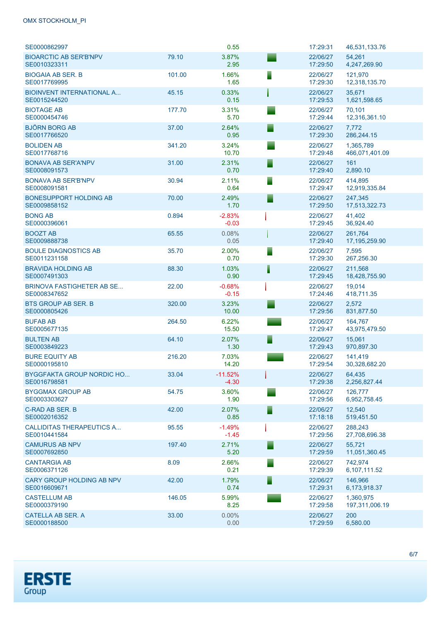## OMX STOCKHOLM\_PI

| SE0000862997                                     |        | 0.55                 | 17:29:31             | 46,531,133.76               |
|--------------------------------------------------|--------|----------------------|----------------------|-----------------------------|
| <b>BIOARCTIC AB SER'B'NPV</b><br>SE0010323311    | 79.10  | 3.87%<br>2.95        | 22/06/27<br>17:29:50 | 54,261<br>4,247,269.90      |
| <b>BIOGAIA AB SER. B</b><br>SE0017769995         | 101.00 | 1.66%<br>1.65        | 22/06/27<br>17:29:30 | 121,970<br>12,318,135.70    |
| <b>BIOINVENT INTERNATIONAL A</b><br>SE0015244520 | 45.15  | 0.33%<br>0.15        | 22/06/27<br>17:29:53 | 35.671<br>1,621,598.65      |
| <b>BIOTAGE AB</b><br>SE0000454746                | 177.70 | 3.31%<br>5.70        | 22/06/27<br>17:29:44 | 70,101<br>12,316,361.10     |
| <b>BJÖRN BORG AB</b><br>SE0017766520             | 37.00  | 2.64%<br>0.95        | 22/06/27<br>17:29:30 | 7,772<br>286,244.15         |
| <b>BOLIDEN AB</b><br>SE0017768716                | 341.20 | 3.24%<br>10.70       | 22/06/27<br>17:29:48 | 1,365,789<br>466,071,401.09 |
| <b>BONAVA AB SER'A'NPV</b><br>SE0008091573       | 31.00  | 2.31%<br>0.70        | 22/06/27<br>17:29:40 | 161<br>2,890.10             |
| <b>BONAVA AB SER'B'NPV</b><br>SE0008091581       | 30.94  | 2.11%<br>0.64        | 22/06/27<br>17:29:47 | 414,895<br>12,919,335.84    |
| <b>BONESUPPORT HOLDING AB</b><br>SE0009858152    | 70.00  | 2.49%<br>1.70        | 22/06/27<br>17:29:50 | 247,345<br>17,513,322.73    |
| <b>BONG AB</b><br>SE0000396061                   | 0.894  | $-2.83%$<br>$-0.03$  | 22/06/27<br>17:29:45 | 41,402<br>36,924.40         |
| <b>BOOZT AB</b><br>SE0009888738                  | 65.55  | 0.08%<br>0.05        | 22/06/27<br>17:29:40 | 261,764<br>17,195,259.90    |
| <b>BOULE DIAGNOSTICS AB</b><br>SE0011231158      | 35.70  | 2.00%<br>0.70        | 22/06/27<br>17:29:30 | 7,595<br>267,256.30         |
| <b>BRAVIDA HOLDING AB</b><br>SE0007491303        | 88.30  | 1.03%<br>0.90        | 22/06/27<br>17:29:45 | 211,568<br>18,428,755.90    |
| <b>BRINOVA FASTIGHETER AB SE</b><br>SE0008347652 | 22.00  | $-0.68%$<br>$-0.15$  | 22/06/27<br>17:24:46 | 19,014<br>418,711.35        |
| <b>BTS GROUP AB SER. B</b><br>SE0000805426       | 320.00 | 3.23%<br>10.00       | 22/06/27<br>17:29:56 | 2,572<br>831,877.50         |
| <b>BUFAB AB</b><br>SE0005677135                  | 264.50 | 6.22%<br>15.50       | 22/06/27<br>17:29:47 | 164,767<br>43,975,479.50    |
| <b>BULTEN AB</b><br>SE0003849223                 | 64.10  | 2.07%<br>1.30        | 22/06/27<br>17:29:43 | 15,061<br>970,897.30        |
| <b>BURE EQUITY AB</b><br>SE0000195810            | 216.20 | 7.03%<br>14.20       | 22/06/27<br>17:29:54 | 141,419<br>30,328,682.20    |
| <b>BYGGFAKTA GROUP NORDIC HO</b><br>SE0016798581 | 33.04  | $-11.52%$<br>$-4.30$ | 22/06/27<br>17:29:38 | 64,435<br>2,256,827.44      |
| <b>BYGGMAX GROUP AB</b><br>SE0003303627          | 54.75  | 3.60%<br>1.90        | 22/06/27<br>17:29:56 | 126,777<br>6,952,758.45     |
| C-RAD AB SER. B<br>SE0002016352                  | 42.00  | 2.07%<br>0.85        | 22/06/27<br>17:18:18 | 12,540<br>519,451.50        |
| <b>CALLIDITAS THERAPEUTICS A</b><br>SE0010441584 | 95.55  | $-1.49%$<br>$-1.45$  | 22/06/27<br>17:29:56 | 288.243<br>27,708,696.38    |
| <b>CAMURUS AB NPV</b><br>SE0007692850            | 197.40 | 2.71%<br>5.20        | 22/06/27<br>17:29:59 | 55,721<br>11,051,360.45     |
| <b>CANTARGIA AB</b><br>SE0006371126              | 8.09   | 2.66%<br>0.21        | 22/06/27<br>17:29:39 | 742,974<br>6,107,111.52     |
| CARY GROUP HOLDING AB NPV<br>SE0016609671        | 42.00  | 1.79%<br>0.74        | 22/06/27<br>17:29:31 | 146,966<br>6,173,918.37     |
| <b>CASTELLUM AB</b><br>SE0000379190              | 146.05 | 5.99%<br>8.25        | 22/06/27<br>17:29:58 | 1,360,975<br>197,311,006.19 |
| <b>CATELLA AB SER. A</b><br>SE0000188500         | 33.00  | $0.00\%$<br>0.00     | 22/06/27<br>17:29:59 | 200<br>6,580.00             |